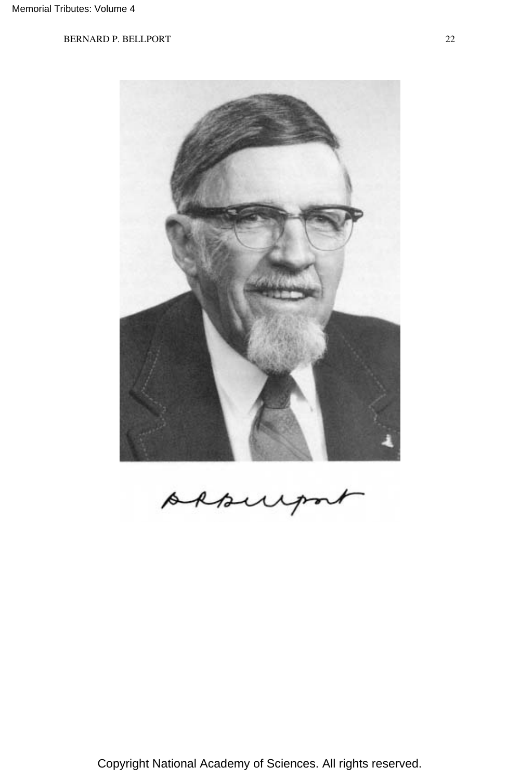

ARAN

Copyright National Academy of Sciences. All rights reserved.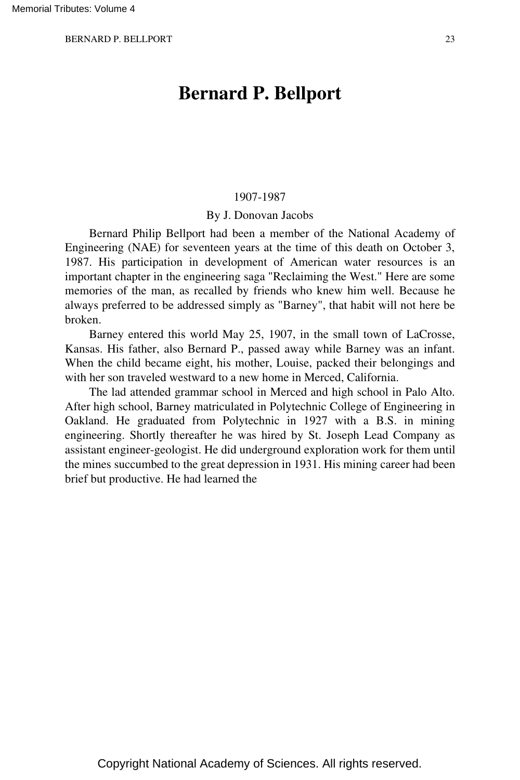# **Bernard P. Bellport**

#### 1907-1987

#### By J. Donovan Jacobs

Bernard Philip Bellport had been a member of the National Academy of Engineering (NAE) for seventeen years at the time of this death on October 3, 1987. His participation in development of American water resources is an important chapter in the engineering saga "Reclaiming the West." Here are some memories of the man, as recalled by friends who knew him well. Because he always preferred to be addressed simply as "Barney", that habit will not here be broken.

Barney entered this world May 25, 1907, in the small town of LaCrosse, Kansas. His father, also Bernard P., passed away while Barney was an infant. When the child became eight, his mother, Louise, packed their belongings and with her son traveled westward to a new home in Merced, California.

The lad attended grammar school in Merced and high school in Palo Alto. After high school, Barney matriculated in Polytechnic College of Engineering in Oakland. He graduated from Polytechnic in 1927 with a B.S. in mining engineering. Shortly thereafter he was hired by St. Joseph Lead Company as assistant engineer-geologist. He did underground exploration work for them until the mines succumbed to the great depression in 1931. His mining career had been brief but productive. He had learned the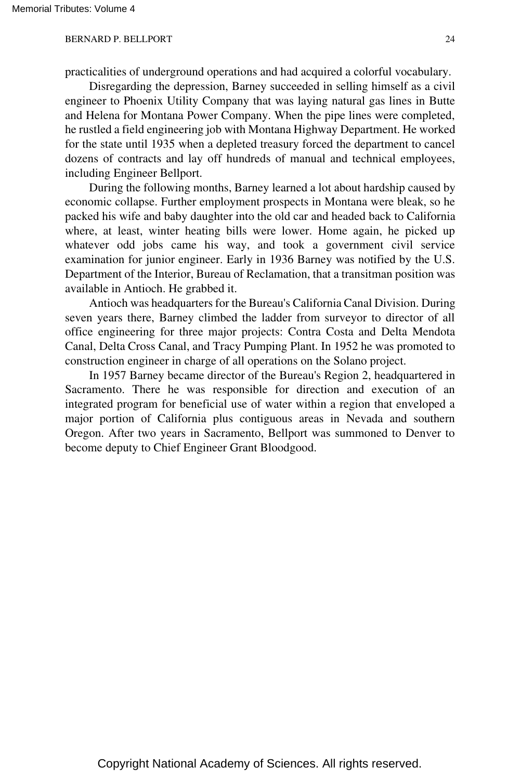practicalities of underground operations and had acquired a colorful vocabulary.

Disregarding the depression, Barney succeeded in selling himself as a civil engineer to Phoenix Utility Company that was laying natural gas lines in Butte and Helena for Montana Power Company. When the pipe lines were completed, he rustled a field engineering job with Montana Highway Department. He worked for the state until 1935 when a depleted treasury forced the department to cancel dozens of contracts and lay off hundreds of manual and technical employees, including Engineer Bellport.

During the following months, Barney learned a lot about hardship caused by economic collapse. Further employment prospects in Montana were bleak, so he packed his wife and baby daughter into the old car and headed back to California where, at least, winter heating bills were lower. Home again, he picked up whatever odd jobs came his way, and took a government civil service examination for junior engineer. Early in 1936 Barney was notified by the U.S. Department of the Interior, Bureau of Reclamation, that a transitman position was available in Antioch. He grabbed it.

Antioch was headquarters for the Bureau's California Canal Division. During seven years there, Barney climbed the ladder from surveyor to director of all office engineering for three major projects: Contra Costa and Delta Mendota Canal, Delta Cross Canal, and Tracy Pumping Plant. In 1952 he was promoted to construction engineer in charge of all operations on the Solano project.

In 1957 Barney became director of the Bureau's Region 2, headquartered in Sacramento. There he was responsible for direction and execution of an integrated program for beneficial use of water within a region that enveloped a major portion of California plus contiguous areas in Nevada and southern Oregon. After two years in Sacramento, Bellport was summoned to Denver to become deputy to Chief Engineer Grant Bloodgood.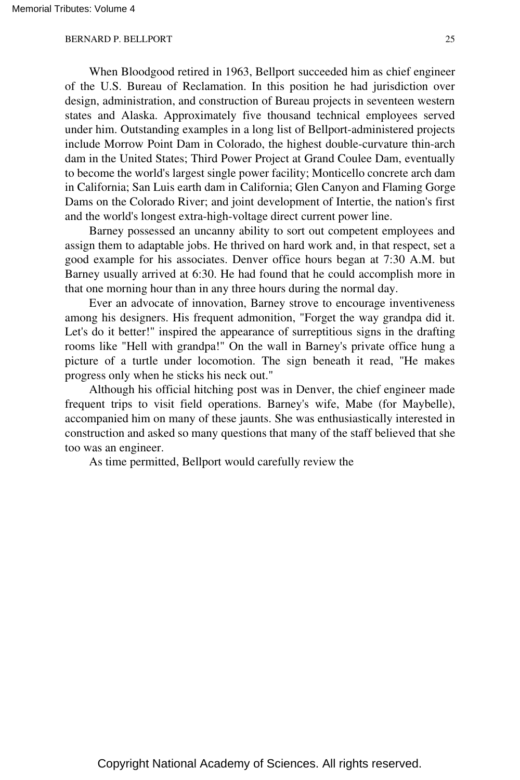When Bloodgood retired in 1963, Bellport succeeded him as chief engineer of the U.S. Bureau of Reclamation. In this position he had jurisdiction over design, administration, and construction of Bureau projects in seventeen western states and Alaska. Approximately five thousand technical employees served under him. Outstanding examples in a long list of Bellport-administered projects include Morrow Point Dam in Colorado, the highest double-curvature thin-arch dam in the United States; Third Power Project at Grand Coulee Dam, eventually to become the world's largest single power facility; Monticello concrete arch dam in California; San Luis earth dam in California; Glen Canyon and Flaming Gorge Dams on the Colorado River; and joint development of Intertie, the nation's first and the world's longest extra-high-voltage direct current power line.

Barney possessed an uncanny ability to sort out competent employees and assign them to adaptable jobs. He thrived on hard work and, in that respect, set a good example for his associates. Denver office hours began at 7:30 A.M. but Barney usually arrived at 6:30. He had found that he could accomplish more in that one morning hour than in any three hours during the normal day.

Ever an advocate of innovation, Barney strove to encourage inventiveness among his designers. His frequent admonition, "Forget the way grandpa did it. Let's do it better!" inspired the appearance of surreptitious signs in the drafting rooms like "Hell with grandpa!" On the wall in Barney's private office hung a picture of a turtle under locomotion. The sign beneath it read, ''He makes progress only when he sticks his neck out."

Although his official hitching post was in Denver, the chief engineer made frequent trips to visit field operations. Barney's wife, Mabe (for Maybelle), accompanied him on many of these jaunts. She was enthusiastically interested in construction and asked so many questions that many of the staff believed that she too was an engineer.

As time permitted, Bellport would carefully review the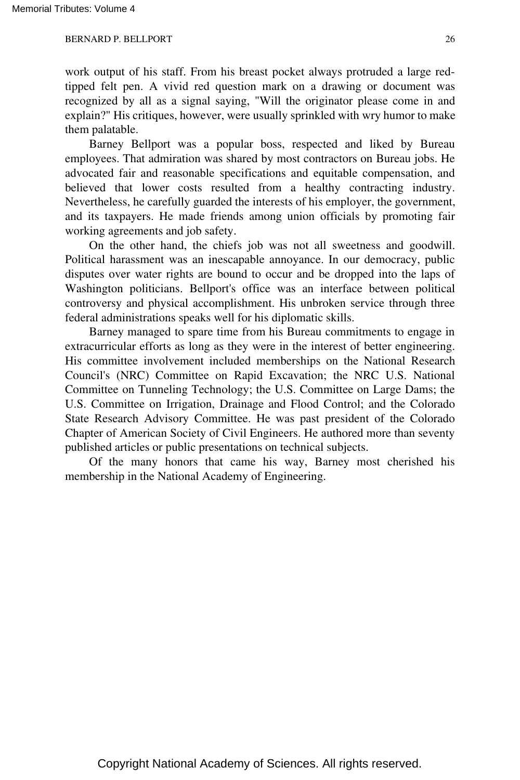work output of his staff. From his breast pocket always protruded a large redtipped felt pen. A vivid red question mark on a drawing or document was recognized by all as a signal saying, "Will the originator please come in and explain?" His critiques, however, were usually sprinkled with wry humor to make them palatable.

Barney Bellport was a popular boss, respected and liked by Bureau employees. That admiration was shared by most contractors on Bureau jobs. He advocated fair and reasonable specifications and equitable compensation, and believed that lower costs resulted from a healthy contracting industry. Nevertheless, he carefully guarded the interests of his employer, the government, and its taxpayers. He made friends among union officials by promoting fair working agreements and job safety.

On the other hand, the chiefs job was not all sweetness and goodwill. Political harassment was an inescapable annoyance. In our democracy, public disputes over water rights are bound to occur and be dropped into the laps of Washington politicians. Bellport's office was an interface between political controversy and physical accomplishment. His unbroken service through three federal administrations speaks well for his diplomatic skills.

Barney managed to spare time from his Bureau commitments to engage in extracurricular efforts as long as they were in the interest of better engineering. His committee involvement included memberships on the National Research Council's (NRC) Committee on Rapid Excavation; the NRC U.S. National Committee on Tunneling Technology; the U.S. Committee on Large Dams; the U.S. Committee on Irrigation, Drainage and Flood Control; and the Colorado State Research Advisory Committee. He was past president of the Colorado Chapter of American Society of Civil Engineers. He authored more than seventy published articles or public presentations on technical subjects.

Of the many honors that came his way, Barney most cherished his membership in the National Academy of Engineering.